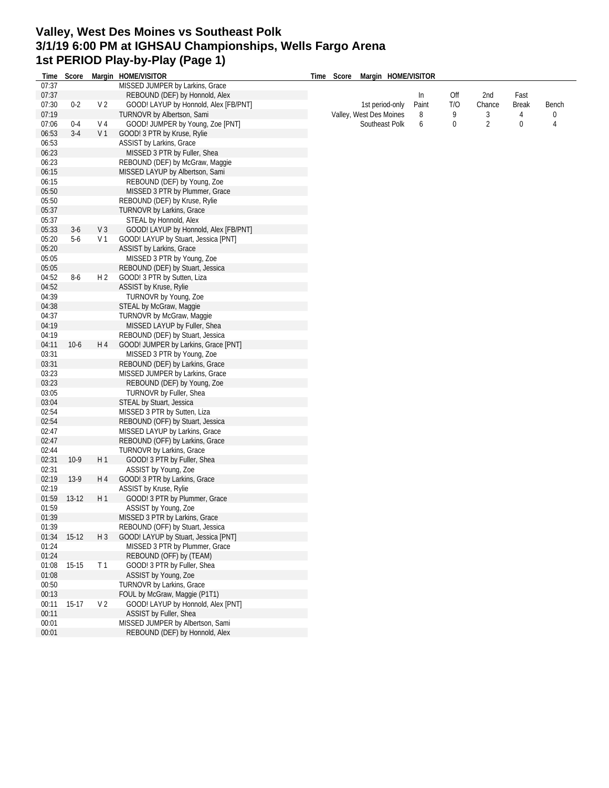## **Valley, West Des Moines vs Southeast Polk 3/1/19 6:00 PM at IGHSAU Championships, Wells Fargo Arena 1st PERIOD Play-by-Play (Page 1)**

| Time  | Score   |                | Margin HOME/VISITOR                   | Time | Score | Margin HOME/VISITOR     |       |             |        |              |       |
|-------|---------|----------------|---------------------------------------|------|-------|-------------------------|-------|-------------|--------|--------------|-------|
| 07:37 |         |                | MISSED JUMPER by Larkins, Grace       |      |       |                         |       |             |        |              |       |
| 07:37 |         |                | REBOUND (DEF) by Honnold, Alex        |      |       |                         | In.   | Off         | 2nd    | Fast         |       |
| 07:30 | $0 - 2$ | V <sub>2</sub> | GOOD! LAYUP by Honnold, Alex [FB/PNT] |      |       | 1st period-only         | Paint | T/O         | Chance | <b>Break</b> | Bench |
| 07:19 |         |                | TURNOVR by Albertson, Sami            |      |       | Valley, West Des Moines | 8     | 9           | 3      | 4            | 0     |
| 07:06 | $0-4$   | V <sub>4</sub> | GOOD! JUMPER by Young, Zoe [PNT]      |      |       | Southeast Polk          | 6     | $\mathbf 0$ | 2      | 0            | 4     |
| 06:53 | $3-4$   | V <sub>1</sub> | GOOD! 3 PTR by Kruse, Rylie           |      |       |                         |       |             |        |              |       |
| 06:53 |         |                | ASSIST by Larkins, Grace              |      |       |                         |       |             |        |              |       |
| 06:23 |         |                | MISSED 3 PTR by Fuller, Shea          |      |       |                         |       |             |        |              |       |
| 06:23 |         |                | REBOUND (DEF) by McGraw, Maggie       |      |       |                         |       |             |        |              |       |
| 06:15 |         |                | MISSED LAYUP by Albertson, Sami       |      |       |                         |       |             |        |              |       |
| 06:15 |         |                |                                       |      |       |                         |       |             |        |              |       |
|       |         |                | REBOUND (DEF) by Young, Zoe           |      |       |                         |       |             |        |              |       |
| 05:50 |         |                | MISSED 3 PTR by Plummer, Grace        |      |       |                         |       |             |        |              |       |
| 05:50 |         |                | REBOUND (DEF) by Kruse, Rylie         |      |       |                         |       |             |        |              |       |
| 05:37 |         |                | TURNOVR by Larkins, Grace             |      |       |                         |       |             |        |              |       |
| 05:37 |         |                | STEAL by Honnold, Alex                |      |       |                         |       |             |        |              |       |
| 05:33 | $3-6$   | V <sub>3</sub> | GOOD! LAYUP by Honnold, Alex [FB/PNT] |      |       |                         |       |             |        |              |       |
| 05:20 | $5-6$   | V 1            | GOOD! LAYUP by Stuart, Jessica [PNT]  |      |       |                         |       |             |        |              |       |
| 05:20 |         |                | ASSIST by Larkins, Grace              |      |       |                         |       |             |        |              |       |
| 05:05 |         |                | MISSED 3 PTR by Young, Zoe            |      |       |                         |       |             |        |              |       |
| 05:05 |         |                | REBOUND (DEF) by Stuart, Jessica      |      |       |                         |       |             |        |              |       |
| 04:52 | $8-6$   | H <sub>2</sub> | GOOD! 3 PTR by Sutten, Liza           |      |       |                         |       |             |        |              |       |
| 04:52 |         |                | <b>ASSIST by Kruse, Rylie</b>         |      |       |                         |       |             |        |              |       |
| 04:39 |         |                | TURNOVR by Young, Zoe                 |      |       |                         |       |             |        |              |       |
| 04:38 |         |                | STEAL by McGraw, Maggie               |      |       |                         |       |             |        |              |       |
| 04:37 |         |                | TURNOVR by McGraw, Maggie             |      |       |                         |       |             |        |              |       |
| 04:19 |         |                | MISSED LAYUP by Fuller, Shea          |      |       |                         |       |             |        |              |       |
| 04:19 |         |                | REBOUND (DEF) by Stuart, Jessica      |      |       |                         |       |             |        |              |       |
| 04:11 | $10-6$  | H 4            | GOOD! JUMPER by Larkins, Grace [PNT]  |      |       |                         |       |             |        |              |       |
|       |         |                | MISSED 3 PTR by Young, Zoe            |      |       |                         |       |             |        |              |       |
| 03:31 |         |                |                                       |      |       |                         |       |             |        |              |       |
| 03:31 |         |                | REBOUND (DEF) by Larkins, Grace       |      |       |                         |       |             |        |              |       |
| 03:23 |         |                | MISSED JUMPER by Larkins, Grace       |      |       |                         |       |             |        |              |       |
| 03:23 |         |                | REBOUND (DEF) by Young, Zoe           |      |       |                         |       |             |        |              |       |
| 03:05 |         |                | TURNOVR by Fuller, Shea               |      |       |                         |       |             |        |              |       |
| 03:04 |         |                | STEAL by Stuart, Jessica              |      |       |                         |       |             |        |              |       |
| 02:54 |         |                | MISSED 3 PTR by Sutten, Liza          |      |       |                         |       |             |        |              |       |
| 02:54 |         |                | REBOUND (OFF) by Stuart, Jessica      |      |       |                         |       |             |        |              |       |
| 02:47 |         |                | MISSED LAYUP by Larkins, Grace        |      |       |                         |       |             |        |              |       |
| 02:47 |         |                | REBOUND (OFF) by Larkins, Grace       |      |       |                         |       |             |        |              |       |
| 02:44 |         |                | TURNOVR by Larkins, Grace             |      |       |                         |       |             |        |              |       |
| 02:31 | $10-9$  | H 1            | GOOD! 3 PTR by Fuller, Shea           |      |       |                         |       |             |        |              |       |
| 02:31 |         |                | ASSIST by Young, Zoe                  |      |       |                         |       |             |        |              |       |
| 02:19 | $13-9$  | H 4            | GOOD! 3 PTR by Larkins, Grace         |      |       |                         |       |             |        |              |       |
| 02:19 |         |                | ASSIST by Kruse, Rylie                |      |       |                         |       |             |        |              |       |
| 01:59 | $13-12$ | H1             | GOOD! 3 PTR by Plummer, Grace         |      |       |                         |       |             |        |              |       |
| 01:59 |         |                | ASSIST by Young, Zoe                  |      |       |                         |       |             |        |              |       |
| 01:39 |         |                | MISSED 3 PTR by Larkins, Grace        |      |       |                         |       |             |        |              |       |
| 01:39 |         |                | REBOUND (OFF) by Stuart, Jessica      |      |       |                         |       |             |        |              |       |
| 01:34 | $15-12$ | $H_3$          | GOOD! LAYUP by Stuart, Jessica [PNT]  |      |       |                         |       |             |        |              |       |
| 01:24 |         |                | MISSED 3 PTR by Plummer, Grace        |      |       |                         |       |             |        |              |       |
| 01:24 |         |                | REBOUND (OFF) by (TEAM)               |      |       |                         |       |             |        |              |       |
| 01:08 | $15-15$ | T <sub>1</sub> | GOOD! 3 PTR by Fuller, Shea           |      |       |                         |       |             |        |              |       |
|       |         |                |                                       |      |       |                         |       |             |        |              |       |
| 01:08 |         |                | ASSIST by Young, Zoe                  |      |       |                         |       |             |        |              |       |
| 00:50 |         |                | TURNOVR by Larkins, Grace             |      |       |                         |       |             |        |              |       |
| 00:13 |         |                | FOUL by McGraw, Maggie (P1T1)         |      |       |                         |       |             |        |              |       |
| 00:11 | $15-17$ | V <sub>2</sub> | GOOD! LAYUP by Honnold, Alex [PNT]    |      |       |                         |       |             |        |              |       |
| 00:11 |         |                | ASSIST by Fuller, Shea                |      |       |                         |       |             |        |              |       |
| 00:01 |         |                | MISSED JUMPER by Albertson, Sami      |      |       |                         |       |             |        |              |       |
| 00:01 |         |                | REBOUND (DEF) by Honnold, Alex        |      |       |                         |       |             |        |              |       |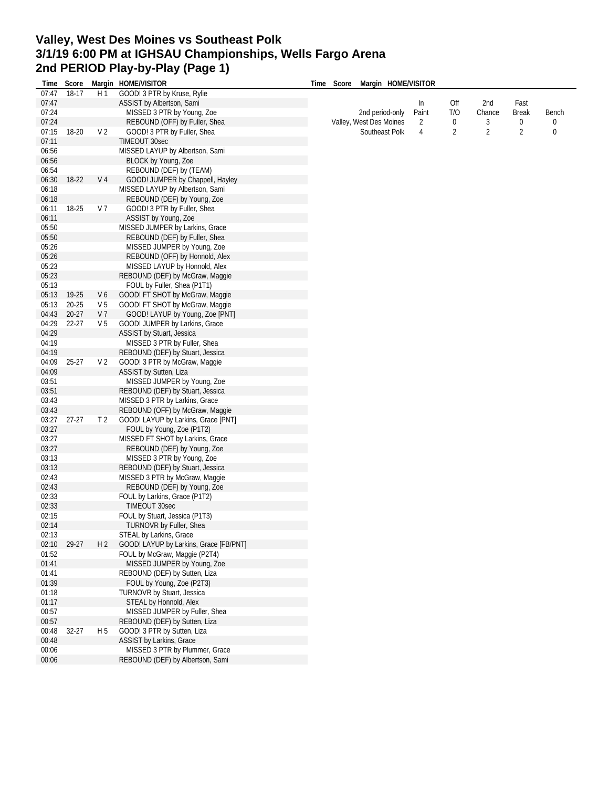## **Valley, West Des Moines vs Southeast Polk 3/1/19 6:00 PM at IGHSAU Championships, Wells Fargo Arena 2nd PERIOD Play-by-Play (Page 1)**

|       |           |                | Margin HOME/VISITOR                    |  | Time Score Margin HOME/VISITOR |                |     |                |              |             |
|-------|-----------|----------------|----------------------------------------|--|--------------------------------|----------------|-----|----------------|--------------|-------------|
| Time  | Score     |                |                                        |  |                                |                |     |                |              |             |
| 07:47 | 18-17     | H1             | GOOD! 3 PTR by Kruse, Rylie            |  |                                |                |     |                |              |             |
| 07:47 |           |                | ASSIST by Albertson, Sami              |  |                                | ln             | Off | 2nd            | Fast         |             |
| 07:24 |           |                | MISSED 3 PTR by Young, Zoe             |  | 2nd period-only                | Paint          | T/O | Chance         | <b>Break</b> | Bench       |
| 07:24 |           |                | REBOUND (OFF) by Fuller, Shea          |  | Valley, West Des Moines        | $\overline{2}$ | 0   | 3              | 0            | 0           |
| 07:15 | 18-20     | V <sub>2</sub> | GOOD! 3 PTR by Fuller, Shea            |  | Southeast Polk                 | 4              | 2   | $\overline{2}$ | 2            | $\mathbf 0$ |
| 07:11 |           |                | TIMEOUT 30sec                          |  |                                |                |     |                |              |             |
| 06:56 |           |                | MISSED LAYUP by Albertson, Sami        |  |                                |                |     |                |              |             |
| 06:56 |           |                | BLOCK by Young, Zoe                    |  |                                |                |     |                |              |             |
| 06:54 |           |                | REBOUND (DEF) by (TEAM)                |  |                                |                |     |                |              |             |
| 06:30 | 18-22     | V <sub>4</sub> | GOOD! JUMPER by Chappell, Hayley       |  |                                |                |     |                |              |             |
| 06:18 |           |                | MISSED LAYUP by Albertson, Sami        |  |                                |                |     |                |              |             |
| 06:18 |           |                | REBOUND (DEF) by Young, Zoe            |  |                                |                |     |                |              |             |
| 06:11 | 18-25     | V 7            | GOOD! 3 PTR by Fuller, Shea            |  |                                |                |     |                |              |             |
| 06:11 |           |                | ASSIST by Young, Zoe                   |  |                                |                |     |                |              |             |
| 05:50 |           |                | MISSED JUMPER by Larkins, Grace        |  |                                |                |     |                |              |             |
| 05:50 |           |                | REBOUND (DEF) by Fuller, Shea          |  |                                |                |     |                |              |             |
| 05:26 |           |                | MISSED JUMPER by Young, Zoe            |  |                                |                |     |                |              |             |
| 05:26 |           |                | REBOUND (OFF) by Honnold, Alex         |  |                                |                |     |                |              |             |
| 05:23 |           |                | MISSED LAYUP by Honnold, Alex          |  |                                |                |     |                |              |             |
| 05:23 |           |                |                                        |  |                                |                |     |                |              |             |
| 05:13 |           |                | REBOUND (DEF) by McGraw, Maggie        |  |                                |                |     |                |              |             |
|       |           |                | FOUL by Fuller, Shea (P1T1)            |  |                                |                |     |                |              |             |
| 05:13 | 19-25     | V6             | GOOD! FT SHOT by McGraw, Maggie        |  |                                |                |     |                |              |             |
| 05:13 | $20 - 25$ | V 5            | GOOD! FT SHOT by McGraw, Maggie        |  |                                |                |     |                |              |             |
| 04:43 | $20 - 27$ | V 7            | GOOD! LAYUP by Young, Zoe [PNT]        |  |                                |                |     |                |              |             |
| 04:29 | $22 - 27$ | V <sub>5</sub> | GOOD! JUMPER by Larkins, Grace         |  |                                |                |     |                |              |             |
| 04:29 |           |                | ASSIST by Stuart, Jessica              |  |                                |                |     |                |              |             |
| 04:19 |           |                | MISSED 3 PTR by Fuller, Shea           |  |                                |                |     |                |              |             |
| 04:19 |           |                | REBOUND (DEF) by Stuart, Jessica       |  |                                |                |     |                |              |             |
| 04:09 | $25 - 27$ | V <sub>2</sub> | GOOD! 3 PTR by McGraw, Maggie          |  |                                |                |     |                |              |             |
| 04:09 |           |                | ASSIST by Sutten, Liza                 |  |                                |                |     |                |              |             |
| 03:51 |           |                | MISSED JUMPER by Young, Zoe            |  |                                |                |     |                |              |             |
| 03:51 |           |                | REBOUND (DEF) by Stuart, Jessica       |  |                                |                |     |                |              |             |
| 03:43 |           |                | MISSED 3 PTR by Larkins, Grace         |  |                                |                |     |                |              |             |
| 03:43 |           |                | REBOUND (OFF) by McGraw, Maggie        |  |                                |                |     |                |              |             |
| 03:27 | $27-27$   | T <sub>2</sub> | GOOD! LAYUP by Larkins, Grace [PNT]    |  |                                |                |     |                |              |             |
| 03:27 |           |                | FOUL by Young, Zoe (P1T2)              |  |                                |                |     |                |              |             |
| 03:27 |           |                | MISSED FT SHOT by Larkins, Grace       |  |                                |                |     |                |              |             |
| 03:27 |           |                | REBOUND (DEF) by Young, Zoe            |  |                                |                |     |                |              |             |
| 03:13 |           |                | MISSED 3 PTR by Young, Zoe             |  |                                |                |     |                |              |             |
| 03:13 |           |                | REBOUND (DEF) by Stuart, Jessica       |  |                                |                |     |                |              |             |
| 02:43 |           |                | MISSED 3 PTR by McGraw, Maggie         |  |                                |                |     |                |              |             |
| 02:43 |           |                | REBOUND (DEF) by Young, Zoe            |  |                                |                |     |                |              |             |
| 02:33 |           |                | FOUL by Larkins, Grace (P1T2)          |  |                                |                |     |                |              |             |
| 02:33 |           |                | TIMEOUT 30sec                          |  |                                |                |     |                |              |             |
|       |           |                |                                        |  |                                |                |     |                |              |             |
| 02:15 |           |                | FOUL by Stuart, Jessica (P1T3)         |  |                                |                |     |                |              |             |
| 02:14 |           |                | TURNOVR by Fuller, Shea                |  |                                |                |     |                |              |             |
| 02:13 |           |                | STEAL by Larkins, Grace                |  |                                |                |     |                |              |             |
| 02:10 | 29-27     | H 2            | GOOD! LAYUP by Larkins, Grace [FB/PNT] |  |                                |                |     |                |              |             |
| 01:52 |           |                | FOUL by McGraw, Maggie (P2T4)          |  |                                |                |     |                |              |             |
| 01:41 |           |                | MISSED JUMPER by Young, Zoe            |  |                                |                |     |                |              |             |
| 01:41 |           |                | REBOUND (DEF) by Sutten, Liza          |  |                                |                |     |                |              |             |
| 01:39 |           |                | FOUL by Young, Zoe (P2T3)              |  |                                |                |     |                |              |             |
| 01:18 |           |                | <b>TURNOVR by Stuart, Jessica</b>      |  |                                |                |     |                |              |             |
| 01:17 |           |                | STEAL by Honnold, Alex                 |  |                                |                |     |                |              |             |
| 00:57 |           |                | MISSED JUMPER by Fuller, Shea          |  |                                |                |     |                |              |             |
| 00:57 |           |                | REBOUND (DEF) by Sutten, Liza          |  |                                |                |     |                |              |             |
| 00:48 | $32 - 27$ | H 5            | GOOD! 3 PTR by Sutten, Liza            |  |                                |                |     |                |              |             |
| 00:48 |           |                | ASSIST by Larkins, Grace               |  |                                |                |     |                |              |             |
| 00:06 |           |                | MISSED 3 PTR by Plummer, Grace         |  |                                |                |     |                |              |             |
| 00:06 |           |                | REBOUND (DEF) by Albertson, Sami       |  |                                |                |     |                |              |             |
|       |           |                |                                        |  |                                |                |     |                |              |             |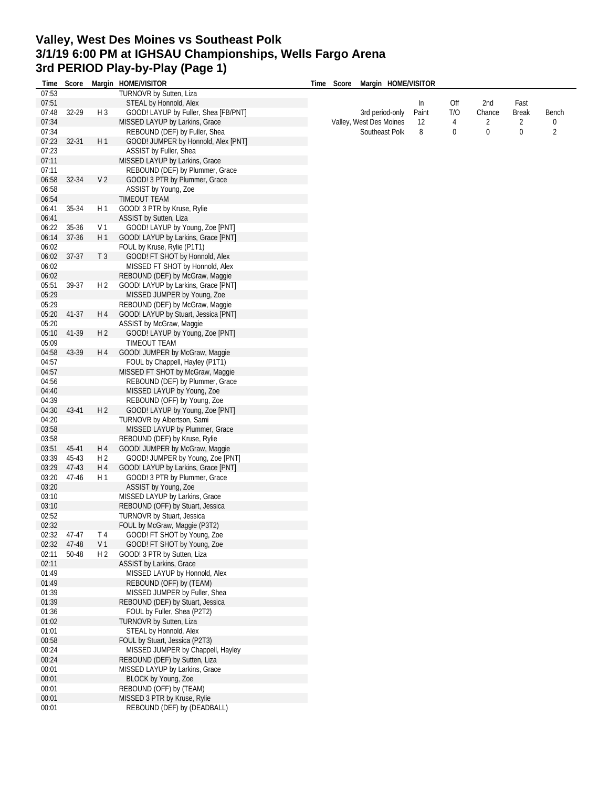## **Valley, West Des Moines vs Southeast Polk 3/1/19 6:00 PM at IGHSAU Championships, Wells Fargo Arena 3rd PERIOD Play-by-Play (Page 1)**

| Time  | Score |                | Margin HOME/VISITOR                  | Time | Score | Margin HOME/VISITOR     |       |     |        |                |                |
|-------|-------|----------------|--------------------------------------|------|-------|-------------------------|-------|-----|--------|----------------|----------------|
| 07:53 |       |                | TURNOVR by Sutten, Liza              |      |       |                         |       |     |        |                |                |
| 07:51 |       |                | STEAL by Honnold, Alex               |      |       |                         | In    | Off | 2nd    | Fast           |                |
| 07:48 | 32-29 | $H_3$          | GOOD! LAYUP by Fuller, Shea [FB/PNT] |      |       | 3rd period-only         | Paint | T/O | Chance | <b>Break</b>   | Bench          |
| 07:34 |       |                | MISSED LAYUP by Larkins, Grace       |      |       | Valley, West Des Moines | 12    | 4   | 2      | $\overline{2}$ | 0              |
| 07:34 |       |                | REBOUND (DEF) by Fuller, Shea        |      |       | Southeast Polk          | 8     | 0   | 0      | $\mathbf 0$    | $\overline{2}$ |
| 07:23 | 32-31 | H1             | GOOD! JUMPER by Honnold, Alex [PNT]  |      |       |                         |       |     |        |                |                |
| 07:23 |       |                | ASSIST by Fuller, Shea               |      |       |                         |       |     |        |                |                |
| 07:11 |       |                | MISSED LAYUP by Larkins, Grace       |      |       |                         |       |     |        |                |                |
| 07:11 |       |                | REBOUND (DEF) by Plummer, Grace      |      |       |                         |       |     |        |                |                |
| 06:58 | 32-34 | V <sub>2</sub> | GOOD! 3 PTR by Plummer, Grace        |      |       |                         |       |     |        |                |                |
| 06:58 |       |                | ASSIST by Young, Zoe                 |      |       |                         |       |     |        |                |                |
| 06:54 |       |                | TIMEOUT TEAM                         |      |       |                         |       |     |        |                |                |
| 06:41 | 35-34 | H 1            | GOOD! 3 PTR by Kruse, Rylie          |      |       |                         |       |     |        |                |                |
| 06:41 |       |                | ASSIST by Sutten, Liza               |      |       |                         |       |     |        |                |                |
| 06:22 | 35-36 | V 1            | GOOD! LAYUP by Young, Zoe [PNT]      |      |       |                         |       |     |        |                |                |
| 06:14 | 37-36 | H 1            | GOOD! LAYUP by Larkins, Grace [PNT]  |      |       |                         |       |     |        |                |                |
| 06:02 |       |                | FOUL by Kruse, Rylie (P1T1)          |      |       |                         |       |     |        |                |                |
| 06:02 | 37-37 | T <sub>3</sub> | GOOD! FT SHOT by Honnold, Alex       |      |       |                         |       |     |        |                |                |
| 06:02 |       |                | MISSED FT SHOT by Honnold, Alex      |      |       |                         |       |     |        |                |                |
| 06:02 |       |                | REBOUND (DEF) by McGraw, Maggie      |      |       |                         |       |     |        |                |                |
|       |       |                |                                      |      |       |                         |       |     |        |                |                |
| 05:51 | 39-37 | H <sub>2</sub> | GOOD! LAYUP by Larkins, Grace [PNT]  |      |       |                         |       |     |        |                |                |
| 05:29 |       |                | MISSED JUMPER by Young, Zoe          |      |       |                         |       |     |        |                |                |
| 05:29 |       |                | REBOUND (DEF) by McGraw, Maggie      |      |       |                         |       |     |        |                |                |
| 05:20 | 41-37 | H 4            | GOOD! LAYUP by Stuart, Jessica [PNT] |      |       |                         |       |     |        |                |                |
| 05:20 |       |                | ASSIST by McGraw, Maggie             |      |       |                         |       |     |        |                |                |
| 05:10 | 41-39 | H <sub>2</sub> | GOOD! LAYUP by Young, Zoe [PNT]      |      |       |                         |       |     |        |                |                |
| 05:09 |       |                | TIMEOUT TEAM                         |      |       |                         |       |     |        |                |                |
| 04:58 | 43-39 | H 4            | GOOD! JUMPER by McGraw, Maggie       |      |       |                         |       |     |        |                |                |
| 04:57 |       |                | FOUL by Chappell, Hayley (P1T1)      |      |       |                         |       |     |        |                |                |
| 04:57 |       |                | MISSED FT SHOT by McGraw, Maggie     |      |       |                         |       |     |        |                |                |
| 04:56 |       |                | REBOUND (DEF) by Plummer, Grace      |      |       |                         |       |     |        |                |                |
| 04:40 |       |                | MISSED LAYUP by Young, Zoe           |      |       |                         |       |     |        |                |                |
| 04:39 |       |                | REBOUND (OFF) by Young, Zoe          |      |       |                         |       |     |        |                |                |
| 04:30 | 43-41 | H <sub>2</sub> | GOOD! LAYUP by Young, Zoe [PNT]      |      |       |                         |       |     |        |                |                |
|       |       |                |                                      |      |       |                         |       |     |        |                |                |
| 04:20 |       |                | TURNOVR by Albertson, Sami           |      |       |                         |       |     |        |                |                |
| 03:58 |       |                | MISSED LAYUP by Plummer, Grace       |      |       |                         |       |     |        |                |                |
| 03:58 |       |                | REBOUND (DEF) by Kruse, Rylie        |      |       |                         |       |     |        |                |                |
| 03:51 | 45-41 | H 4            | GOOD! JUMPER by McGraw, Maggie       |      |       |                         |       |     |        |                |                |
| 03:39 | 45-43 | H <sub>2</sub> | GOOD! JUMPER by Young, Zoe [PNT]     |      |       |                         |       |     |        |                |                |
| 03:29 | 47-43 | H 4            | GOOD! LAYUP by Larkins, Grace [PNT]  |      |       |                         |       |     |        |                |                |
| 03:20 | 47-46 | H 1            | GOOD! 3 PTR by Plummer, Grace        |      |       |                         |       |     |        |                |                |
| 03:20 |       |                | ASSIST by Young, Zoe                 |      |       |                         |       |     |        |                |                |
| 03:10 |       |                | MISSED LAYUP by Larkins, Grace       |      |       |                         |       |     |        |                |                |
| 03:10 |       |                | REBOUND (OFF) by Stuart, Jessica     |      |       |                         |       |     |        |                |                |
| 02:52 |       |                | <b>TURNOVR by Stuart, Jessica</b>    |      |       |                         |       |     |        |                |                |
| 02:32 |       |                | FOUL by McGraw, Maggie (P3T2)        |      |       |                         |       |     |        |                |                |
| 02:32 | 47-47 | T 4            | GOOD! FT SHOT by Young, Zoe          |      |       |                         |       |     |        |                |                |
| 02:32 | 47-48 | V <sub>1</sub> | GOOD! FT SHOT by Young, Zoe          |      |       |                         |       |     |        |                |                |
| 02:11 | 50-48 | H <sub>2</sub> | GOOD! 3 PTR by Sutten, Liza          |      |       |                         |       |     |        |                |                |
| 02:11 |       |                | ASSIST by Larkins, Grace             |      |       |                         |       |     |        |                |                |
| 01:49 |       |                | MISSED LAYUP by Honnold, Alex        |      |       |                         |       |     |        |                |                |
| 01:49 |       |                | REBOUND (OFF) by (TEAM)              |      |       |                         |       |     |        |                |                |
| 01:39 |       |                | MISSED JUMPER by Fuller, Shea        |      |       |                         |       |     |        |                |                |
|       |       |                |                                      |      |       |                         |       |     |        |                |                |
| 01:39 |       |                | REBOUND (DEF) by Stuart, Jessica     |      |       |                         |       |     |        |                |                |
| 01:36 |       |                | FOUL by Fuller, Shea (P2T2)          |      |       |                         |       |     |        |                |                |
| 01:02 |       |                | TURNOVR by Sutten, Liza              |      |       |                         |       |     |        |                |                |
| 01:01 |       |                | STEAL by Honnold, Alex               |      |       |                         |       |     |        |                |                |
| 00:58 |       |                | FOUL by Stuart, Jessica (P2T3)       |      |       |                         |       |     |        |                |                |
| 00:24 |       |                | MISSED JUMPER by Chappell, Hayley    |      |       |                         |       |     |        |                |                |
| 00:24 |       |                | REBOUND (DEF) by Sutten, Liza        |      |       |                         |       |     |        |                |                |
| 00:01 |       |                | MISSED LAYUP by Larkins, Grace       |      |       |                         |       |     |        |                |                |
| 00:01 |       |                | BLOCK by Young, Zoe                  |      |       |                         |       |     |        |                |                |
| 00:01 |       |                | REBOUND (OFF) by (TEAM)              |      |       |                         |       |     |        |                |                |
| 00:01 |       |                | MISSED 3 PTR by Kruse, Rylie         |      |       |                         |       |     |        |                |                |
| 00:01 |       |                | REBOUND (DEF) by (DEADBALL)          |      |       |                         |       |     |        |                |                |